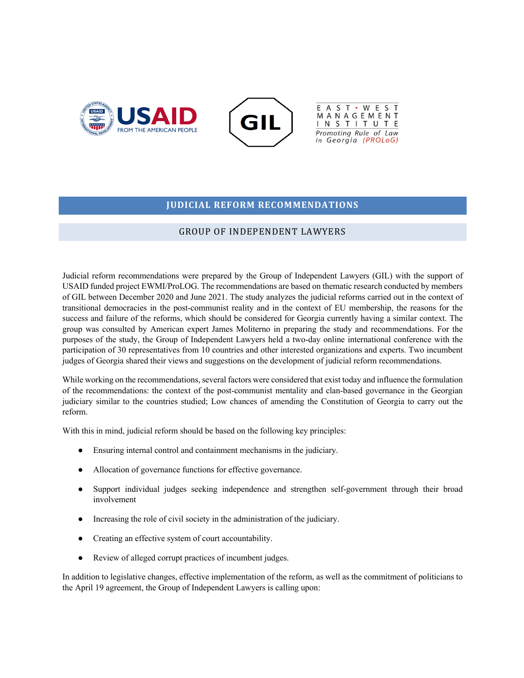





#### **JUDICIAL REFORM RECOMMENDATIONS**

#### GROUP OF INDEPENDENT LAWYERS

Judicial reform recommendations were prepared by the Group of Independent Lawyers (GIL) with the support of USAID funded project EWMI/ProLOG. The recommendations are based on thematic research conducted by members of GIL between December 2020 and June 2021. The study analyzes the judicial reforms carried out in the context of transitional democracies in the post-communist reality and in the context of EU membership, the reasons for the success and failure of the reforms, which should be considered for Georgia currently having a similar context. The group was consulted by American expert James Moliterno in preparing the study and recommendations. For the purposes of the study, the Group of Independent Lawyers held a two-day online international conference with the participation of 30 representatives from 10 countries and other interested organizations and experts. Two incumbent judges of Georgia shared their views and suggestions on the development of judicial reform recommendations.

While working on the recommendations, several factors were considered that exist today and influence the formulation of the recommendations: the context of the post-communist mentality and clan-based governance in the Georgian judiciary similar to the countries studied; Low chances of amending the Constitution of Georgia to carry out the reform.

With this in mind, judicial reform should be based on the following key principles:

- Ensuring internal control and containment mechanisms in the judiciary.
- Allocation of governance functions for effective governance.
- Support individual judges seeking independence and strengthen self-government through their broad involvement
- Increasing the role of civil society in the administration of the judiciary.
- Creating an effective system of court accountability.
- Review of alleged corrupt practices of incumbent judges.

In addition to legislative changes, effective implementation of the reform, as well as the commitment of politicians to the April 19 agreement, the Group of Independent Lawyers is calling upon: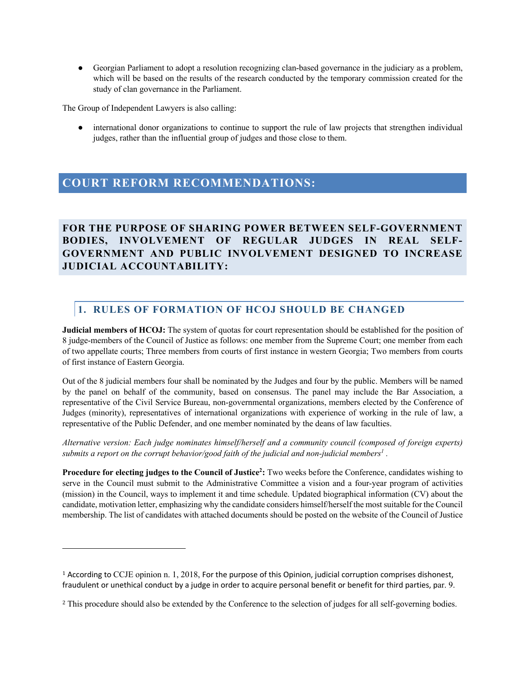● Georgian Parliament to adopt a resolution recognizing clan-based governance in the judiciary as a problem, which will be based on the results of the research conducted by the temporary commission created for the study of clan governance in the Parliament.

The Group of Independent Lawyers is also calling:

● international donor organizations to continue to support the rule of law projects that strengthen individual judges, rather than the influential group of judges and those close to them.

# **COURT REFORM RECOMMENDATIONS:**

**FOR THE PURPOSE OF SHARING POWER BETWEEN SELF-GOVERNMENT BODIES, INVOLVEMENT OF REGULAR JUDGES IN REAL SELF-GOVERNMENT AND PUBLIC INVOLVEMENT DESIGNED TO INCREASE JUDICIAL ACCOUNTABILITY:** 

### **1. RULES OF FORMATION OF HCOJ SHOULD BE CHANGED**

**Judicial members of HCOJ:** The system of quotas for court representation should be established for the position of 8 judge-members of the Council of Justice as follows: one member from the Supreme Court; one member from each of two appellate courts; Three members from courts of first instance in western Georgia; Two members from courts of first instance of Eastern Georgia.

Out of the 8 judicial members four shall be nominated by the Judges and four by the public. Members will be named by the panel on behalf of the community, based on consensus. The panel may include the Bar Association, a representative of the Civil Service Bureau, non-governmental organizations, members elected by the Conference of Judges (minority), representatives of international organizations with experience of working in the rule of law, a representative of the Public Defender, and one member nominated by the deans of law faculties.

*Alternative version: Each judge nominates himself/herself and a community council (composed of foreign experts) submits a report on the corrupt behavior/good faith of the judicial and non-judicial members<sup>1</sup>.* 

Procedure for electing judges to the Council of Justice<sup>2</sup>: Two weeks before the Conference, candidates wishing to serve in the Council must submit to the Administrative Committee a vision and a four-year program of activities (mission) in the Council, ways to implement it and time schedule. Updated biographical information (CV) about the candidate, motivation letter, emphasizing why the candidate considers himself/herself the most suitable for the Council membership. The list of candidates with attached documents should be posted on the website of the Council of Justice

<sup>1</sup> According to CCJE opinion n. 1, 2018, For the purpose of this Opinion, judicial corruption comprises dishonest, fraudulent or unethical conduct by a judge in order to acquire personal benefit or benefit for third parties, par. 9.

<sup>&</sup>lt;sup>2</sup> This procedure should also be extended by the Conference to the selection of judges for all self-governing bodies.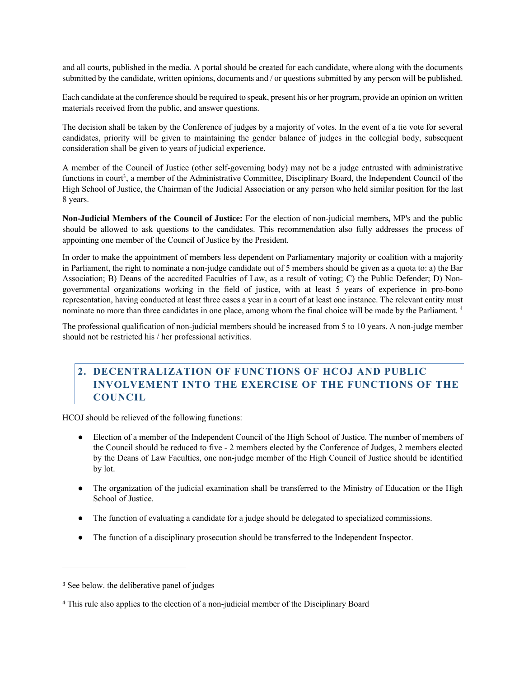and all courts, published in the media. A portal should be created for each candidate, where along with the documents submitted by the candidate, written opinions, documents and / or questions submitted by any person will be published.

Each candidate at the conference should be required to speak, present his or her program, provide an opinion on written materials received from the public, and answer questions.

The decision shall be taken by the Conference of judges by a majority of votes. In the event of a tie vote for several candidates, priority will be given to maintaining the gender balance of judges in the collegial body, subsequent consideration shall be given to years of judicial experience.

A member of the Council of Justice (other self-governing body) may not be a judge entrusted with administrative functions in court<sup>3</sup>, a member of the Administrative Committee, Disciplinary Board, the Independent Council of the High School of Justice, the Chairman of the Judicial Association or any person who held similar position for the last 8 years.

**Non-Judicial Members of the Council of Justice:** For the election of non-judicial members**,** MP's and the public should be allowed to ask questions to the candidates. This recommendation also fully addresses the process of appointing one member of the Council of Justice by the President.

In order to make the appointment of members less dependent on Parliamentary majority or coalition with a majority in Parliament, the right to nominate a non-judge candidate out of 5 members should be given as a quota to: a) the Bar Association; B) Deans of the accredited Faculties of Law, as a result of voting; C) the Public Defender; D) Nongovernmental organizations working in the field of justice, with at least 5 years of experience in pro-bono representation, having conducted at least three cases a year in a court of at least one instance. The relevant entity must nominate no more than three candidates in one place, among whom the final choice will be made by the Parliament. 4

The professional qualification of non-judicial members should be increased from 5 to 10 years. A non-judge member should not be restricted his / her professional activities.

## **2. DECENTRALIZATION OF FUNCTIONS OF HCOJ AND PUBLIC INVOLVEMENT INTO THE EXERCISE OF THE FUNCTIONS OF THE COUNCIL**

HCOJ should be relieved of the following functions:

- Election of a member of the Independent Council of the High School of Justice. The number of members of the Council should be reduced to five - 2 members elected by the Conference of Judges, 2 members elected by the Deans of Law Faculties, one non-judge member of the High Council of Justice should be identified by lot.
- The organization of the judicial examination shall be transferred to the Ministry of Education or the High School of Justice.
- The function of evaluating a candidate for a judge should be delegated to specialized commissions.
- The function of a disciplinary prosecution should be transferred to the Independent Inspector.

<sup>&</sup>lt;sup>3</sup> See below. the deliberative panel of judges

<sup>4</sup> This rule also applies to the election of a non-judicial member of the Disciplinary Board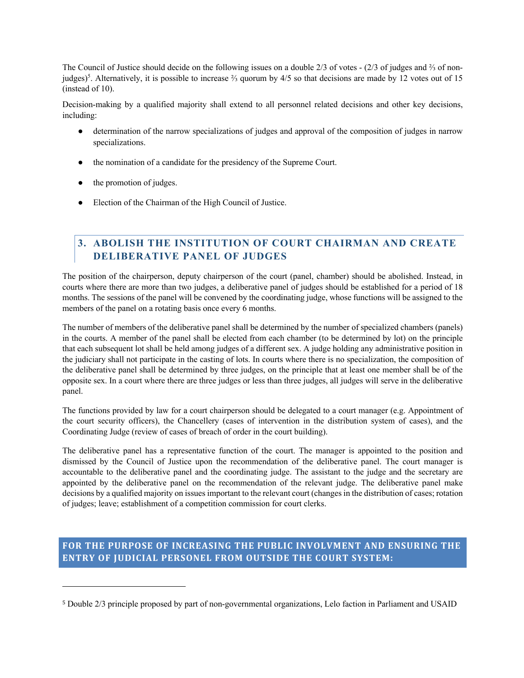The Council of Justice should decide on the following issues on a double 2/3 of votes - (2/3 of judges and ⅔ of nonjudges)<sup>5</sup>. Alternatively, it is possible to increase ⅔ quorum by 4/5 so that decisions are made by 12 votes out of 15 (instead of 10).

Decision-making by a qualified majority shall extend to all personnel related decisions and other key decisions, including:

- determination of the narrow specializations of judges and approval of the composition of judges in narrow specializations.
- the nomination of a candidate for the presidency of the Supreme Court.
- the promotion of judges.
- Election of the Chairman of the High Council of Justice.

## **3. ABOLISH THE INSTITUTION OF COURT CHAIRMAN AND CREATE DELIBERATIVE PANEL OF JUDGES**

The position of the chairperson, deputy chairperson of the court (panel, chamber) should be abolished. Instead, in courts where there are more than two judges, a deliberative panel of judges should be established for a period of 18 months. The sessions of the panel will be convened by the coordinating judge, whose functions will be assigned to the members of the panel on a rotating basis once every 6 months.

The number of members of the deliberative panel shall be determined by the number of specialized chambers (panels) in the courts. A member of the panel shall be elected from each chamber (to be determined by lot) on the principle that each subsequent lot shall be held among judges of a different sex. A judge holding any administrative position in the judiciary shall not participate in the casting of lots. In courts where there is no specialization, the composition of the deliberative panel shall be determined by three judges, on the principle that at least one member shall be of the opposite sex. In a court where there are three judges or less than three judges, all judges will serve in the deliberative panel.

The functions provided by law for a court chairperson should be delegated to a court manager (e.g. Appointment of the court security officers), the Chancellery (cases of intervention in the distribution system of cases), and the Coordinating Judge (review of cases of breach of order in the court building).

The deliberative panel has a representative function of the court. The manager is appointed to the position and dismissed by the Council of Justice upon the recommendation of the deliberative panel. The court manager is accountable to the deliberative panel and the coordinating judge. The assistant to the judge and the secretary are appointed by the deliberative panel on the recommendation of the relevant judge. The deliberative panel make decisions by a qualified majority on issues important to the relevant court (changes in the distribution of cases; rotation of judges; leave; establishment of a competition commission for court clerks.

### FOR THE PURPOSE OF INCREASING THE PUBLIC INVOLVMENT AND ENSURING THE **ENTRY OF JUDICIAL PERSONEL FROM OUTSIDE THE COURT SYSTEM:**

<sup>5</sup> Double 2/3 principle proposed by part of non-governmental organizations, Lelo faction in Parliament and USAID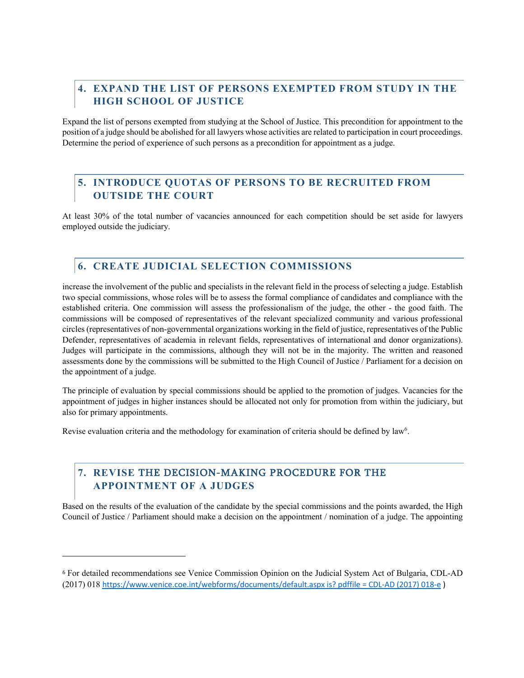# **4. EXPAND THE LIST OF PERSONS EXEMPTED FROM STUDY IN THE HIGH SCHOOL OF JUSTICE**

Expand the list of persons exempted from studying at the School of Justice. This precondition for appointment to the position of a judge should be abolished for all lawyers whose activities are related to participation in court proceedings. Determine the period of experience of such persons as a precondition for appointment as a judge.

## **5. INTRODUCE QUOTAS OF PERSONS TO BE RECRUITED FROM OUTSIDE THE COURT**

At least 30% of the total number of vacancies announced for each competition should be set aside for lawyers employed outside the judiciary.

## **6. CREATE JUDICIAL SELECTION COMMISSIONS**

increase the involvement of the public and specialists in the relevant field in the process of selecting a judge. Establish two special commissions, whose roles will be to assess the formal compliance of candidates and compliance with the established criteria. One commission will assess the professionalism of the judge, the other - the good faith. The commissions will be composed of representatives of the relevant specialized community and various professional circles (representatives of non-governmental organizations working in the field of justice, representatives of the Public Defender, representatives of academia in relevant fields, representatives of international and donor organizations). Judges will participate in the commissions, although they will not be in the majority. The written and reasoned assessments done by the commissions will be submitted to the High Council of Justice / Parliament for a decision on the appointment of a judge.

The principle of evaluation by special commissions should be applied to the promotion of judges. Vacancies for the appointment of judges in higher instances should be allocated not only for promotion from within the judiciary, but also for primary appointments.

Revise evaluation criteria and the methodology for examination of criteria should be defined by law<sup>6</sup>.

## **7. REVISE** THE DECISION-MAKING PROCEDURE FOR THE **APPOINTMENT OF A JUDGES**

Based on the results of the evaluation of the candidate by the special commissions and the points awarded, the High Council of Justice / Parliament should make a decision on the appointment / nomination of a judge. The appointing

<sup>6</sup> For detailed recommendations see Venice Commission Opinion on the Judicial System Act of Bulgaria, CDL-AD (2017) 018 https://www.venice.coe.int/webforms/documents/default.aspx is? pdffile = CDL-AD (2017) 018-e )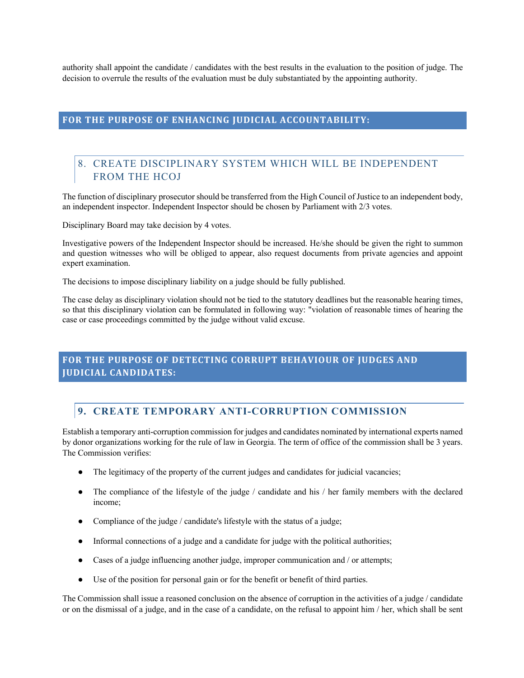authority shall appoint the candidate / candidates with the best results in the evaluation to the position of judge. The decision to overrule the results of the evaluation must be duly substantiated by the appointing authority.

#### FOR THE PURPOSE OF ENHANCING JUDICIAL ACCOUNTABILITY:

## 8. CREATE DISCIPLINARY SYSTEM WHICH WILL BE INDEPENDENT FROM THE HCOJ

The function of disciplinary prosecutor should be transferred from the High Council of Justice to an independent body, an independent inspector. Independent Inspector should be chosen by Parliament with 2/3 votes.

Disciplinary Board may take decision by 4 votes.

Investigative powers of the Independent Inspector should be increased. He/she should be given the right to summon and question witnesses who will be obliged to appear, also request documents from private agencies and appoint expert examination.

The decisions to impose disciplinary liability on a judge should be fully published.

The case delay as disciplinary violation should not be tied to the statutory deadlines but the reasonable hearing times, so that this disciplinary violation can be formulated in following way: "violation of reasonable times of hearing the case or case proceedings committed by the judge without valid excuse.

### FOR THE PURPOSE OF DETECTING CORRUPT BEHAVIOUR OF JUDGES AND **JUDICIAL CANDIDATES:**

#### **9. CREATE TEMPORARY ANTI-CORRUPTION COMMISSION**

Establish a temporary anti-corruption commission for judges and candidates nominated by international experts named by donor organizations working for the rule of law in Georgia. The term of office of the commission shall be 3 years. The Commission verifies:

- The legitimacy of the property of the current judges and candidates for judicial vacancies;
- The compliance of the lifestyle of the judge / candidate and his / her family members with the declared income;
- Compliance of the judge / candidate's lifestyle with the status of a judge;
- Informal connections of a judge and a candidate for judge with the political authorities;
- Cases of a judge influencing another judge, improper communication and / or attempts;
- Use of the position for personal gain or for the benefit or benefit of third parties.

The Commission shall issue a reasoned conclusion on the absence of corruption in the activities of a judge / candidate or on the dismissal of a judge, and in the case of a candidate, on the refusal to appoint him / her, which shall be sent